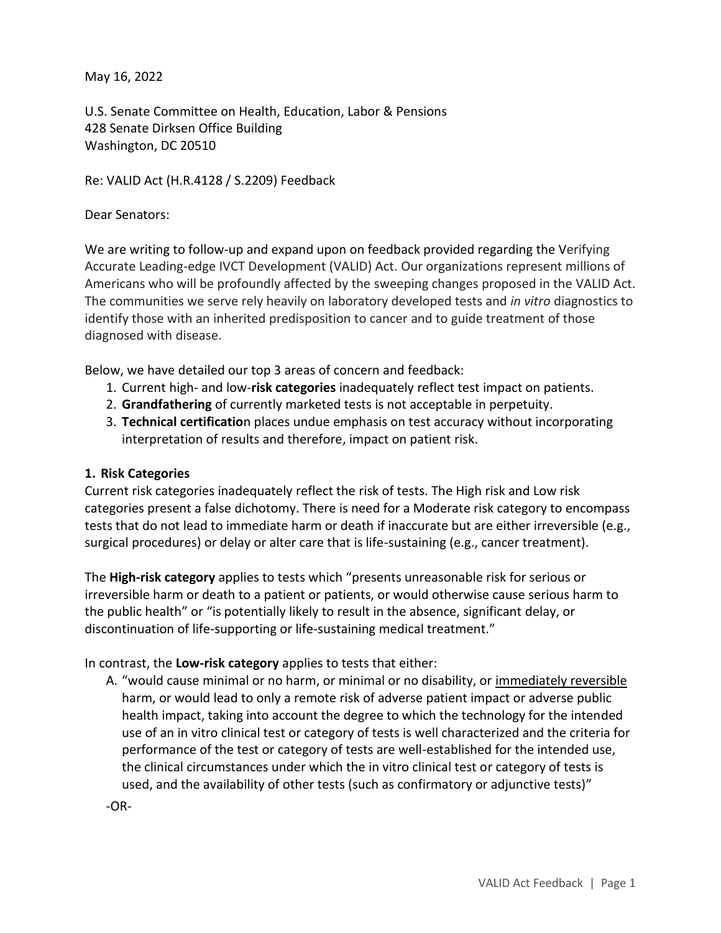May 16, 2022

U.S. Senate Committee on Health, Education, Labor & Pensions 428 Senate Dirksen Office Building Washington, DC 20510

Re: VALID Act (H.R.4128 / S.2209) Feedback

Dear Senators:

We are writing to follow-up and expand upon on feedback provided regarding the Verifying Accurate Leading-edge IVCT Development (VALID) Act. Our organizations represent millions of Americans who will be profoundly affected by the sweeping changes proposed in the VALID Act. The communities we serve rely heavily on laboratory developed tests and *in vitro* diagnostics to identify those with an inherited predisposition to cancer and to guide treatment of those diagnosed with disease.

Below, we have detailed our top 3 areas of concern and feedback:

- 1. Current high- and low-**risk categories** inadequately reflect test impact on patients.
- 2. **Grandfathering** of currently marketed tests is not acceptable in perpetuity.
- 3. **Technical certificatio**n places undue emphasis on test accuracy without incorporating interpretation of results and therefore, impact on patient risk.

## **1. Risk Categories**

Current risk categories inadequately reflect the risk of tests. The High risk and Low risk categories present a false dichotomy. There is need for a Moderate risk category to encompass tests that do not lead to immediate harm or death if inaccurate but are either irreversible (e.g., surgical procedures) or delay or alter care that is life-sustaining (e.g., cancer treatment).

The **High-risk category** applies to tests which "presents unreasonable risk for serious or irreversible harm or death to a patient or patients, or would otherwise cause serious harm to the public health" or "is potentially likely to result in the absence, significant delay, or discontinuation of life-supporting or life-sustaining medical treatment."

In contrast, the **Low-risk category** applies to tests that either:

A. "would cause minimal or no harm, or minimal or no disability, or immediately reversible harm, or would lead to only a remote risk of adverse patient impact or adverse public health impact, taking into account the degree to which the technology for the intended use of an in vitro clinical test or category of tests is well characterized and the criteria for performance of the test or category of tests are well-established for the intended use, the clinical circumstances under which the in vitro clinical test or category of tests is used, and the availability of other tests (such as confirmatory or adjunctive tests)"

-OR-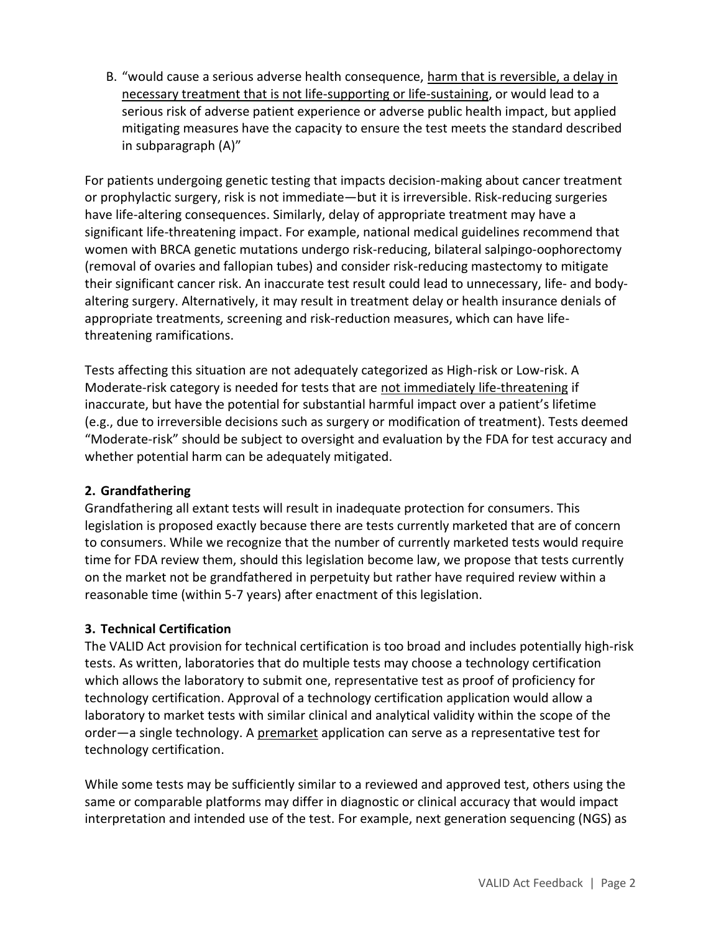B. "would cause a serious adverse health consequence, harm that is reversible, a delay in necessary treatment that is not life-supporting or life-sustaining, or would lead to a serious risk of adverse patient experience or adverse public health impact, but applied mitigating measures have the capacity to ensure the test meets the standard described in subparagraph (A)"

For patients undergoing genetic testing that impacts decision-making about cancer treatment or prophylactic surgery, risk is not immediate—but it is irreversible. Risk-reducing surgeries have life-altering consequences. Similarly, delay of appropriate treatment may have a significant life-threatening impact. For example, national medical guidelines recommend that women with BRCA genetic mutations undergo risk-reducing, bilateral salpingo-oophorectomy (removal of ovaries and fallopian tubes) and consider risk-reducing mastectomy to mitigate their significant cancer risk. An inaccurate test result could lead to unnecessary, life- and bodyaltering surgery. Alternatively, it may result in treatment delay or health insurance denials of appropriate treatments, screening and risk-reduction measures, which can have lifethreatening ramifications.

Tests affecting this situation are not adequately categorized as High-risk or Low-risk. A Moderate-risk category is needed for tests that are not immediately life-threatening if inaccurate, but have the potential for substantial harmful impact over a patient's lifetime (e.g., due to irreversible decisions such as surgery or modification of treatment). Tests deemed "Moderate-risk" should be subject to oversight and evaluation by the FDA for test accuracy and whether potential harm can be adequately mitigated.

## **2. Grandfathering**

Grandfathering all extant tests will result in inadequate protection for consumers. This legislation is proposed exactly because there are tests currently marketed that are of concern to consumers. While we recognize that the number of currently marketed tests would require time for FDA review them, should this legislation become law, we propose that tests currently on the market not be grandfathered in perpetuity but rather have required review within a reasonable time (within 5-7 years) after enactment of this legislation.

## **3. Technical Certification**

The VALID Act provision for technical certification is too broad and includes potentially high-risk tests. As written, laboratories that do multiple tests may choose a technology certification which allows the laboratory to submit one, representative test as proof of proficiency for technology certification. Approval of a technology certification application would allow a laboratory to market tests with similar clinical and analytical validity within the scope of the order—a single technology. A premarket application can serve as a representative test for technology certification.

While some tests may be sufficiently similar to a reviewed and approved test, others using the same or comparable platforms may differ in diagnostic or clinical accuracy that would impact interpretation and intended use of the test. For example, next generation sequencing (NGS) as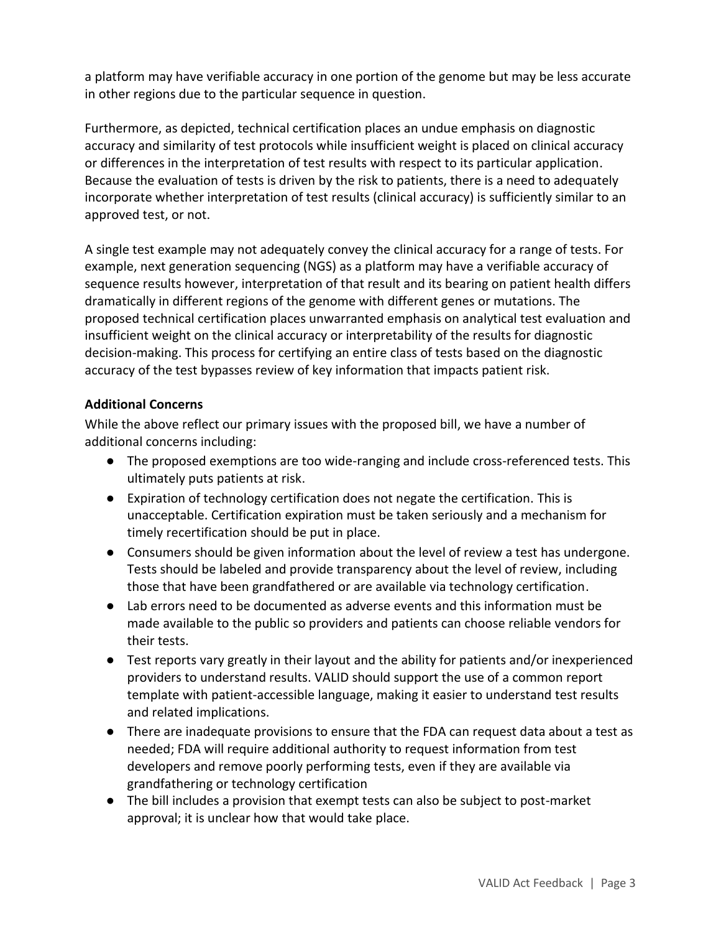a platform may have verifiable accuracy in one portion of the genome but may be less accurate in other regions due to the particular sequence in question.

Furthermore, as depicted, technical certification places an undue emphasis on diagnostic accuracy and similarity of test protocols while insufficient weight is placed on clinical accuracy or differences in the interpretation of test results with respect to its particular application. Because the evaluation of tests is driven by the risk to patients, there is a need to adequately incorporate whether interpretation of test results (clinical accuracy) is sufficiently similar to an approved test, or not.

A single test example may not adequately convey the clinical accuracy for a range of tests. For example, next generation sequencing (NGS) as a platform may have a verifiable accuracy of sequence results however, interpretation of that result and its bearing on patient health differs dramatically in different regions of the genome with different genes or mutations. The proposed technical certification places unwarranted emphasis on analytical test evaluation and insufficient weight on the clinical accuracy or interpretability of the results for diagnostic decision-making. This process for certifying an entire class of tests based on the diagnostic accuracy of the test bypasses review of key information that impacts patient risk.

## **Additional Concerns**

While the above reflect our primary issues with the proposed bill, we have a number of additional concerns including:

- The proposed exemptions are too wide-ranging and include cross-referenced tests. This ultimately puts patients at risk.
- Expiration of technology certification does not negate the certification. This is unacceptable. Certification expiration must be taken seriously and a mechanism for timely recertification should be put in place.
- Consumers should be given information about the level of review a test has undergone. Tests should be labeled and provide transparency about the level of review, including those that have been grandfathered or are available via technology certification.
- Lab errors need to be documented as adverse events and this information must be made available to the public so providers and patients can choose reliable vendors for their tests.
- Test reports vary greatly in their layout and the ability for patients and/or inexperienced providers to understand results. VALID should support the use of a common report template with patient-accessible language, making it easier to understand test results and related implications.
- There are inadequate provisions to ensure that the FDA can request data about a test as needed; FDA will require additional authority to request information from test developers and remove poorly performing tests, even if they are available via grandfathering or technology certification
- The bill includes a provision that exempt tests can also be subject to post-market approval; it is unclear how that would take place.